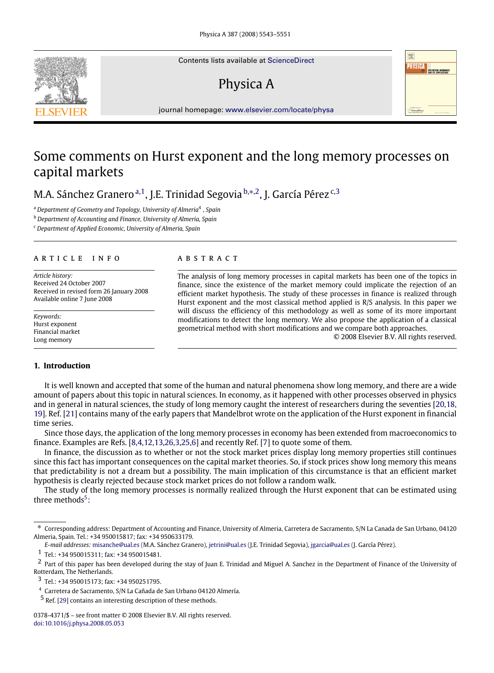Contents lists available at [ScienceDirect](http://www.elsevier.com/locate/physa)

# Physica A



journal homepage: [www.elsevier.com/locate/physa](http://www.elsevier.com/locate/physa)

## Some comments on Hurst exponent and the long memory processes on capital markets

M.A. Sánchez Gr[a](#page-0-0)nero <sup>a, 1</sup>, J.E. Trinidad Segovia <sup>[b,](#page-0-2)</sup>\*<sup>[,2](#page-0-4)</sup>, J. Gar[c](#page-0-5)ía Pérez <sup>c[,3](#page-0-6)</sup>

<span id="page-0-0"></span><sup>a</sup> *Department of Geometry and Topology, University of Almeria*[4](#page-0-7) *, Spain*

<span id="page-0-2"></span><sup>b</sup> *Department of Accounting and Finance, University of Almeria, Spain*

<span id="page-0-5"></span><sup>c</sup> *Department of Applied Economic, University of Almeria, Spain*

#### a r t i c l e i n f o

*Article history:* Received 24 October 2007 Received in revised form 26 January 2008 Available online 7 June 2008

*Keywords:* Hurst exponent Financial market Long memory

### **1. Introduction**

#### a b s t r a c t

The analysis of long memory processes in capital markets has been one of the topics in finance, since the existence of the market memory could implicate the rejection of an efficient market hypothesis. The study of these processes in finance is realized through Hurst exponent and the most classical method applied is R/S analysis. In this paper we will discuss the efficiency of this methodology as well as some of its more important modifications to detect the long memory. We also propose the application of a classical geometrical method with short modifications and we compare both approaches.

© 2008 Elsevier B.V. All rights reserved.

It is well known and accepted that some of the human and natural phenomena show long memory, and there are a wide amount of papers about this topic in natural sciences. In economy, as it happened with other processes observed in physics and in general in natural sciences, the study of long memory caught the interest of researchers during the seventies [\[20,](#page--1-0)[18,](#page--1-1) [19\]](#page--1-2). Ref. [\[21\]](#page--1-3) contains many of the early papers that Mandelbrot wrote on the application of the Hurst exponent in financial time series.

Since those days, the application of the long memory processes in economy has been extended from macroeconomics to finance. Examples are Refs. [\[8,](#page--1-4)[4](#page--1-5)[,12](#page--1-6)[,13,](#page--1-7)[26](#page--1-8)[,3,](#page--1-9)[25](#page--1-10)[,6\]](#page--1-11) and recently Ref. [\[7\]](#page--1-12) to quote some of them.

In finance, the discussion as to whether or not the stock market prices display long memory properties still continues since this fact has important consequences on the capital market theories. So, if stock prices show long memory this means that predictability is not a dream but a possibility. The main implication of this circumstance is that an efficient market hypothesis is clearly rejected because stock market prices do not follow a random walk.

The study of the long memory processes is normally realized through the Hurst exponent that can be estimated using three methods<sup>[5](#page-0-8)</sup>:

<span id="page-0-3"></span><sup>∗</sup> Corresponding address: Department of Accounting and Finance, University of Almeria, Carretera de Sacramento, S/N La Canada de San Urbano, 04120 Almeria, Spain. Tel.: +34 950015817; fax: +34 950633179.

*E-mail addresses:* [misanche@ual.es](mailto:misanche@ual.es) (M.A. Sánchez Granero), [jetrini@ual.es](mailto:jetrini@ual.es) (J.E. Trinidad Segovia), [jgarcia@ual.es](mailto:jgarcia@ual.es) (J. García Pérez).

<span id="page-0-4"></span><span id="page-0-1"></span><sup>1</sup> Tel.: +34 950015311; fax: +34 950015481.

<sup>&</sup>lt;sup>2</sup> Part of this paper has been developed during the stay of Juan E. Trinidad and Miguel A. Sanchez in the Department of Finance of the University of Rotterdam, The Netherlands.

<span id="page-0-6"></span><sup>3</sup> Tel.: +34 950015173; fax: +34 950251795.

<span id="page-0-7"></span><sup>4</sup> Carretera de Sacramento, S/N La Cañada de San Urbano 04120 Almería.

<span id="page-0-8"></span><sup>5</sup> Ref. [\[29\]](#page--1-13) contains an interesting description of these methods.

<sup>0378-4371/\$ –</sup> see front matter © 2008 Elsevier B.V. All rights reserved. [doi:10.1016/j.physa.2008.05.053](http://dx.doi.org/10.1016/j.physa.2008.05.053)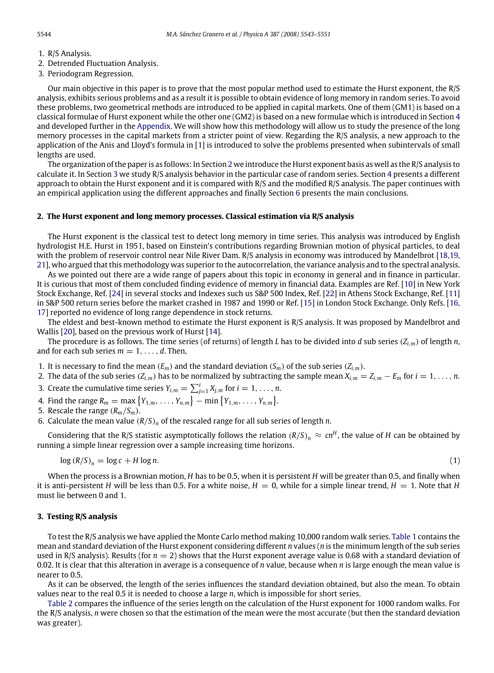- 1. R/S Analysis.
- 2. Detrended Fluctuation Analysis.
- 3. Periodogram Regression.

Our main objective in this paper is to prove that the most popular method used to estimate the Hurst exponent, the R/S analysis, exhibits serious problems and as a result it is possible to obtain evidence of long memory in random series. To avoid these problems, two geometrical methods are introduced to be applied in capital markets. One of them (GM1) is based on a classical formulae of Hurst exponent while the other one (GM2) is based on a new formulae which is introduced in Section [4](#page--1-14) and developed further in the [Appendix.](#page--1-15) We will show how this methodology will allow us to study the presence of the long memory processes in the capital markets from a stricter point of view. Regarding the R/S analysis, a new approach to the application of the Anis and Lloyd's formula in [\[1\]](#page--1-16) is introduced to solve the problems presented when subintervals of small lengths are used.

The organization of the paper is as follows: In Section [2](#page-1-0) we introduce the Hurst exponent basis as well as the R/S analysis to calculate it. In Section [3](#page-1-1) we study R/S analysis behavior in the particular case of random series. Section [4](#page--1-14) presents a different approach to obtain the Hurst exponent and it is compared with R/S and the modified R/S analysis. The paper continues with an empirical application using the different approaches and finally Section [6](#page--1-17) presents the main conclusions.

### <span id="page-1-0"></span>**2. The Hurst exponent and long memory processes. Classical estimation via R/S analysis**

The Hurst exponent is the classical test to detect long memory in time series. This analysis was introduced by English hydrologist H.E. Hurst in 1951, based on Einstein's contributions regarding Brownian motion of physical particles, to deal with the problem of reservoir control near Nile River Dam. R/S analysis in economy was introduced by Mandelbrot [\[18,](#page--1-1)[19,](#page--1-2) [21\]](#page--1-3), who argued that this methodology was superior to the autocorrelation, the variance analysis and to the spectral analysis.

As we pointed out there are a wide range of papers about this topic in economy in general and in finance in particular. It is curious that most of them concluded finding evidence of memory in financial data. Examples are Ref. [\[10\]](#page--1-18) in New York Stock Exchange, Ref. [\[24\]](#page--1-19) in several stocks and Indexes such us S&P 500 Index, Ref. [\[22\]](#page--1-20) in Athens Stock Exchange, Ref. [\[11\]](#page--1-21) in S&P 500 return series before the market crashed in 1987 and 1990 or Ref. [\[15\]](#page--1-22) in London Stock Exchange. Only Refs. [\[16,](#page--1-23) [17\]](#page--1-24) reported no evidence of long range dependence in stock returns.

The eldest and best-known method to estimate the Hurst exponent is R/S analysis. It was proposed by Mandelbrot and Wallis [\[20\]](#page--1-0), based on the previous work of Hurst [\[14\]](#page--1-25).

The procedure is as follows. The time series (of returns) of length *L* has to be divided into *d* sub series  $(Z_{i,m})$  of length *n*, and for each sub series  $m = 1, \ldots, d$ . Then,

1. It is necessary to find the mean  $(E_m)$  and the standard deviation  $(S_m)$  of the sub series  $(Z_{i,m})$ .

2. The data of the sub series  $(Z_{i,m})$  has to be normalized by subtracting the sample mean  $X_{i,m} = Z_{i,m} - E_m$  for  $i = 1, \ldots, n$ .

- 3. Create the cumulative time series  $Y_{i,m} = \sum_{j=1}^{i} X_{j,m}$  for  $i = 1, \ldots, n$ .
- 4. Find the range  $R_m = \max\{Y_{1,m}, \ldots, Y_{n,m}\} \min\{Y_{1,m}, \ldots, Y_{n,m}\}.$
- 5. Rescale the range  $(R_m/S_m)$ .
- 6. Calculate the mean value (*R*/*S*)*<sup>n</sup>* of the rescaled range for all sub series of length *n*.

Considering that the R/S statistic asymptotically follows the relation  $(R/S)_n \approx cn^H$ , the value of  $H$  can be obtained by running a simple linear regression over a sample increasing time horizons.

$$
\log (R/S)_n = \log c + H \log n. \tag{1}
$$

When the process is a Brownian motion, *H* has to be 0.5, when it is persistent *H* will be greater than 0.5, and finally when it is anti-persistent *H* will be less than 0.5. For a white noise,  $H = 0$ , while for a simple linear trend,  $H = 1$ . Note that *H* must lie between 0 and 1.

#### <span id="page-1-1"></span>**3. Testing R/S analysis**

To test the R/S analysis we have applied the Monte Carlo method making 10,000 random walk series. [Table 1](#page--1-26) contains the mean and standard deviation of the Hurst exponent considering different *n* values (*n* is the minimum length of the sub series used in R/S analysis). Results (for  $n = 2$ ) shows that the Hurst exponent average value is 0.68 with a standard deviation of 0.02. It is clear that this alteration in average is a consequence of *n* value, because when *n* is large enough the mean value is nearer to 0.5.

As it can be observed, the length of the series influences the standard deviation obtained, but also the mean. To obtain values near to the real 0.5 it is needed to choose a large *n*, which is impossible for short series.

[Table 2](#page--1-27) compares the influence of the series length on the calculation of the Hurst exponent for 1000 random walks. For the R/S analysis, *n* were chosen so that the estimation of the mean were the most accurate (but then the standard deviation was greater).